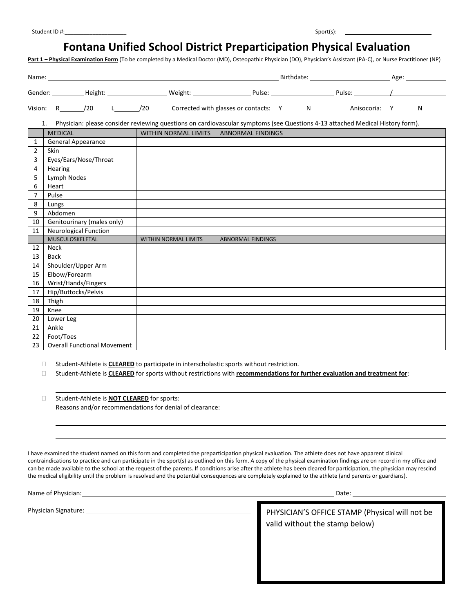## **Fontana Unified School District Preparticipation Physical Evaluation**

**Part 1 – Physical Examination Form** (To be completed by a Medical Doctor (MD), Osteopathic Physician (DO), Physician's Assistant (PA-C), or Nurse Practitioner (NP)

|                | Vision: R /20                      |                                          | L__________/20 Corrected with glasses or contacts: Y M | Anisocoria: Y                                                                                                                 | N |
|----------------|------------------------------------|------------------------------------------|--------------------------------------------------------|-------------------------------------------------------------------------------------------------------------------------------|---|
|                | 1.<br><b>MEDICAL</b>               | WITHIN NORMAL LIMITS   ABNORMAL FINDINGS |                                                        | Physician: please consider reviewing questions on cardiovascular symptoms (see Questions 4-13 attached Medical History form). |   |
| 1              | General Appearance                 |                                          |                                                        |                                                                                                                               |   |
| $\overline{2}$ | Skin                               |                                          |                                                        |                                                                                                                               |   |
| $\overline{3}$ | Eyes/Ears/Nose/Throat              |                                          |                                                        |                                                                                                                               |   |
| 4              | Hearing                            |                                          |                                                        |                                                                                                                               |   |
| 5              | Lymph Nodes                        |                                          |                                                        |                                                                                                                               |   |
| 6              | Heart                              |                                          |                                                        |                                                                                                                               |   |
| 7              | Pulse                              |                                          |                                                        |                                                                                                                               |   |
| 8              | Lungs                              |                                          |                                                        |                                                                                                                               |   |
| 9              | Abdomen                            |                                          |                                                        |                                                                                                                               |   |
| 10             | Genitourinary (males only)         |                                          |                                                        |                                                                                                                               |   |
| 11             | <b>Neurological Function</b>       |                                          |                                                        |                                                                                                                               |   |
|                | MUSCULOSKELETAL                    | WITHIN NORMAL LIMITS                     | <b>ABNORMAL FINDINGS</b>                               |                                                                                                                               |   |
| 12             | Neck                               |                                          |                                                        |                                                                                                                               |   |
| 13             | <b>Back</b>                        |                                          |                                                        |                                                                                                                               |   |
| 14             | Shoulder/Upper Arm                 |                                          |                                                        |                                                                                                                               |   |
| 15             | Elbow/Forearm                      |                                          |                                                        |                                                                                                                               |   |
| 16             | Wrist/Hands/Fingers                |                                          |                                                        |                                                                                                                               |   |
| 17             | Hip/Buttocks/Pelvis                |                                          |                                                        |                                                                                                                               |   |
| 18             | Thigh                              |                                          |                                                        |                                                                                                                               |   |
| 19             | Knee                               |                                          |                                                        |                                                                                                                               |   |
| 20             | Lower Leg                          |                                          |                                                        |                                                                                                                               |   |
| 21             | Ankle                              |                                          |                                                        |                                                                                                                               |   |
| 22             | Foot/Toes                          |                                          |                                                        |                                                                                                                               |   |
| 23             | <b>Overall Functional Movement</b> |                                          |                                                        |                                                                                                                               |   |

 Student-Athlete is **CLEARED** to participate in interscholastic sports without restriction. Student-Athlete is **CLEARED** for sports without restrictions with **recommendations for further evaluation and treatment for**:

 Student-Athlete is **NOT CLEARED** for sports: Reasons and/or recommendations for denial of clearance:

I have examined the student named on this form and completed the preparticipation physical evaluation. The athlete does not have apparent clinical contraindications to practice and can participate in the sport(s) as outlined on this form. A copy of the physical examination findings are on record in my office and can be made available to the school at the request of the parents. If conditions arise after the athlete has been cleared for participation, the physician may rescind the medical eligibility until the problem is resolved and the potential consequences are completely explained to the athlete (and parents or guardians).

Name of Physician: Date: Date: Date: Date: Date: Date: Date: Date: Date: Date: Date: Date: Date: Date: Date: D

Physician Signature:

PHYSICIAN'S OFFICE STAMP (Physical will not be valid without the stamp below)